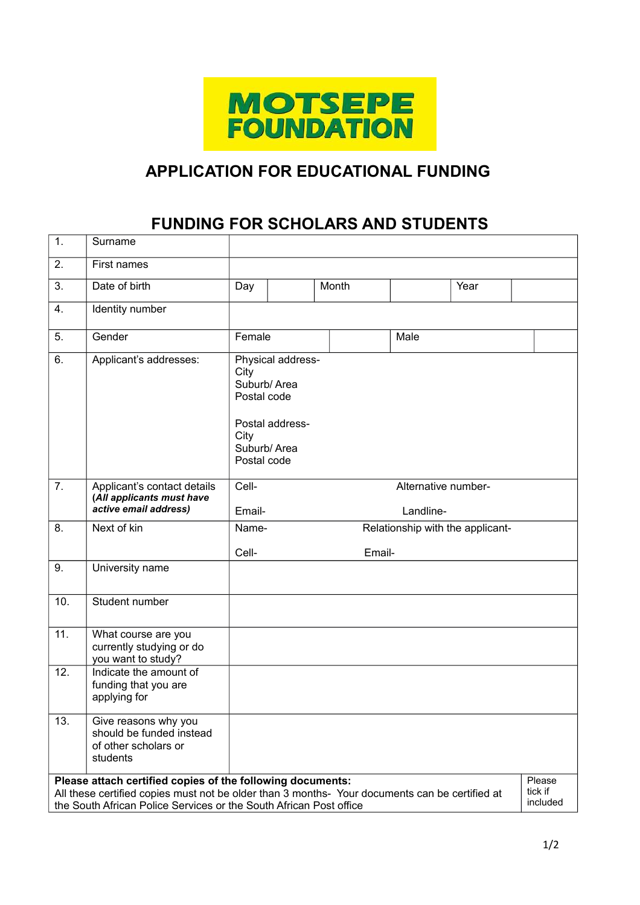

## **APPLICATION FOR EDUCATIONAL FUNDING**

## **FUNDING FOR SCHOLARS AND STUDENTS**

| 1.                                                                                                                                                                                                                                           | Surname                                                                              |                                                     |                                                                    |        |  |      |                    |
|----------------------------------------------------------------------------------------------------------------------------------------------------------------------------------------------------------------------------------------------|--------------------------------------------------------------------------------------|-----------------------------------------------------|--------------------------------------------------------------------|--------|--|------|--------------------|
| 2.                                                                                                                                                                                                                                           | First names                                                                          |                                                     |                                                                    |        |  |      |                    |
| 3.                                                                                                                                                                                                                                           | Date of birth                                                                        | Day                                                 |                                                                    | Month  |  | Year |                    |
| 4.                                                                                                                                                                                                                                           | Identity number                                                                      |                                                     |                                                                    |        |  |      |                    |
| 5.                                                                                                                                                                                                                                           | Gender                                                                               | Female<br>Male                                      |                                                                    |        |  |      |                    |
| 6.                                                                                                                                                                                                                                           | Applicant's addresses:                                                               | City<br>Postal code<br>City<br>Postal code          | Physical address-<br>Suburb/Area<br>Postal address-<br>Suburb/Area |        |  |      |                    |
| 7.                                                                                                                                                                                                                                           | Applicant's contact details<br>(All applicants must have<br>active email address)    | Cell-<br>Alternative number-<br>Landline-<br>Email- |                                                                    |        |  |      |                    |
| 8.                                                                                                                                                                                                                                           | Next of kin                                                                          | Name-<br>Relationship with the applicant-           |                                                                    |        |  |      |                    |
|                                                                                                                                                                                                                                              |                                                                                      | Cell-                                               |                                                                    | Email- |  |      |                    |
| 9.                                                                                                                                                                                                                                           | University name                                                                      |                                                     |                                                                    |        |  |      |                    |
| 10.                                                                                                                                                                                                                                          | Student number                                                                       |                                                     |                                                                    |        |  |      |                    |
| 11.                                                                                                                                                                                                                                          | What course are you<br>currently studying or do<br>you want to study?                |                                                     |                                                                    |        |  |      |                    |
| 12.                                                                                                                                                                                                                                          | Indicate the amount of<br>funding that you are<br>applying for                       |                                                     |                                                                    |        |  |      |                    |
| 13.                                                                                                                                                                                                                                          | Give reasons why you<br>should be funded instead<br>of other scholars or<br>students |                                                     |                                                                    |        |  |      |                    |
| Please attach certified copies of the following documents:<br>tick if<br>All these certified copies must not be older than 3 months-Your documents can be certified at<br>the South African Police Services or the South African Post office |                                                                                      |                                                     |                                                                    |        |  |      | Please<br>included |